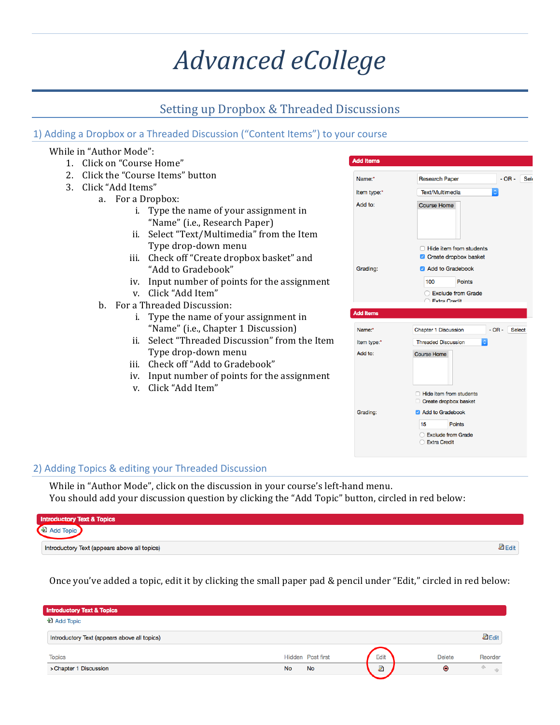# *Advanced eCollege*

# Setting up Dropbox & Threaded Discussions

## 1) Adding a Dropbox or a Threaded Discussion ("Content Items") to your course

## While in "Author Mode":

- 1. Click on "Course Home"
- 2. Click the "Course Items" button
- 3. Click "Add Items"
	- a. For a Dropbox:
		- i. Type the name of your assignment in "Name" (i.e., Research Paper)
		- ii. Select "Text/Multimedia" from the Item Type drop-down menu
		- iii. Check off "Create dropbox basket" and "Add to Gradebook"
		- iv. Input number of points for the assignment
		- v. Click "Add Item"
	- b. For a Threaded Discussion:
		- i. Type the name of your assignment in "Name" (i.e., Chapter 1 Discussion)
		- ii. Select "Threaded Discussion" from the Item Type drop-down menu
		- iii. Check off "Add to Gradebook"
		- iv. Input number of points for the assignment
		- v. Click "Add Item"

| <b>Add Items</b> |                                                                                                       |                          |
|------------------|-------------------------------------------------------------------------------------------------------|--------------------------|
| Name:*           | <b>Research Paper</b>                                                                                 | $-OR -$ Sek              |
| Item type:*      | Text/Multimedia                                                                                       | $\Diamond$               |
| Add to:          | <b>Course Home</b>                                                                                    |                          |
| Grading:         | Hide item from students<br><b>C</b> Create dropbox basket<br>Add to Gradebook<br><b>Points</b><br>100 |                          |
|                  | Exclude from Grade<br><b>Extra Credit</b>                                                             |                          |
| <b>Add Items</b> |                                                                                                       |                          |
| Name:*           | <b>Chapter 1 Discussion</b>                                                                           | $-OR -$<br><b>Select</b> |
| Item type:*      | <b>Threaded Discussion</b><br>¢                                                                       |                          |
| Add to:          | <b>Course Home</b>                                                                                    |                          |
|                  | <b>Hide item from students</b><br>Create dropbox basket                                               |                          |
| Grading:         | Add to Gradebook<br><b>Points</b><br>15<br>Exclude from Grade<br><b>Extra Credit</b>                  |                          |

## 2) Adding Topics & editing your Threaded Discussion

While in "Author Mode", click on the discussion in your course's left-hand menu. You should add your discussion question by clicking the "Add Topic" button, circled in red below:

| <b>Introductory Text &amp; Topics</b>        |  |
|----------------------------------------------|--|
| Land lopic                                   |  |
| Introductory Text (appears above all topics) |  |

Once you've added a topic, edit it by clicking the small paper pad & pencil under "Edit," circled in red below:

| <b>Introductory Text &amp; Topics</b>        |                   |      |               |               |
|----------------------------------------------|-------------------|------|---------------|---------------|
| <b>D</b> Add Topic                           |                   |      |               |               |
| Introductory Text (appears above all topics) |                   |      |               | <b>Z</b> Edit |
| <b>Topics</b>                                | Hidden Post first | Edit | <b>Delete</b> | Reorder       |
| > Chapter 1 Discussion                       | No<br><b>No</b>   | Ż    | Θ             |               |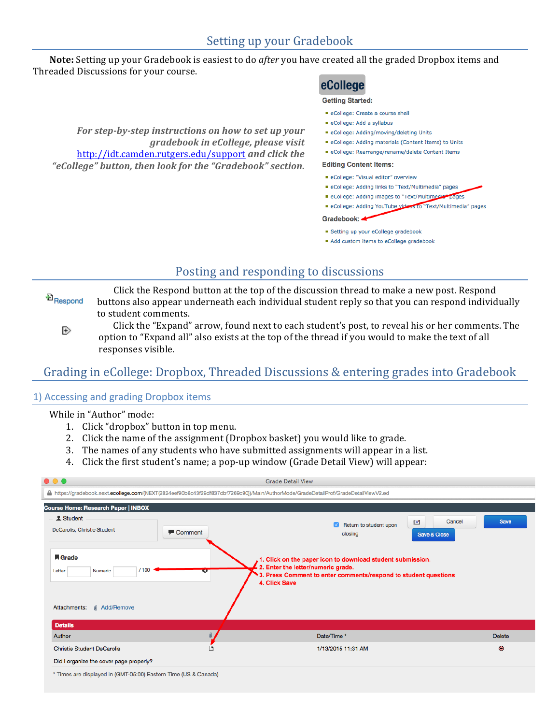**Note:** Setting up your Gradebook is easiest to do *after* you have created all the graded Dropbox items and Threaded Discussions for your course.

# eCollege

#### **Getting Started:**

For step-by-step instructions on how to set up your *gradebook in eCollege, please visit*  http://idt.camden.rutgers.edu/support *and click the* "eCollege" button, then look for the "Gradebook" section.

- eCollege: Create a course shell
- eCollege: Add a syllabus
- eCollege: Adding/moving/deleting Units
- eCollege: Adding materials (Content Items) to Units
- eCollege: Rearrange/rename/delete Content Items

#### **Editing Content Items:**

- eCollege: "Visual editor" overview
- eCollege: Adding links to "Text/Multimedia" pages
- eCollege: Adding images to "Text/Multimedia" pages
- eCollege: Adding YouTube videos to "Text/Multimedia" pages

Gradebook: 4

- · Setting up your eCollege gradebook
- Add custom items to eCollege gradebook

## Posting and responding to discussions

Click the Respond button at the top of the discussion thread to make a new post. Respond <sup>D</sup>Respond buttons also appear underneath each individual student reply so that you can respond individually to student comments.

Click the "Expand" arrow, found next to each student's post, to reveal his or her comments. The Ð option to "Expand all" also exists at the top of the thread if you would to make the text of all responses visible.

## Grading in eCollege: Dropbox, Threaded Discussions & entering grades into Gradebook

## 1) Accessing and grading Dropbox items

### While in "Author" mode:

- 1. Click "dropbox" button in top menu.
- 2. Click the name of the assignment (Dropbox basket) you would like to grade.
- 3. The names of any students who have submitted assignments will appear in a list.
- 4. Click the first student's name; a pop-up window (Grade Detail View) will appear:

| $\bullet\bullet\bullet$<br><b>Grade Detail View</b>                                                                                                                                                                                      |         |                                                                                                                                     |                                |  |
|------------------------------------------------------------------------------------------------------------------------------------------------------------------------------------------------------------------------------------------|---------|-------------------------------------------------------------------------------------------------------------------------------------|--------------------------------|--|
|                                                                                                                                                                                                                                          |         | A https://gradebook.next.ecollege.com/(NEXT(2824eef90b6c43f29df837dbf7269c90))/Main/AuthorMode/GradeDetailProf/GradeDetailViewV2.ed |                                |  |
| Course Home: Research Paper   INBOX                                                                                                                                                                                                      |         |                                                                                                                                     |                                |  |
| <b>1</b> Student<br>DeCarolis, Christie Student                                                                                                                                                                                          | Comment | 旧<br>$\overline{a}$<br>Return to student upon<br>closing                                                                            | Save<br>Cancel<br>Save & Close |  |
| <b>A</b> Grade<br>1. Click on the paper icon to download student submission.<br>2. Enter the letter/numeric grade.<br>/100<br>Letter<br>Numeric<br>w<br>3. Press Comment to enter comments/respond to student questions<br>4. Click Save |         |                                                                                                                                     |                                |  |
| <b>III</b> Add/Remove<br>Attachments:                                                                                                                                                                                                    |         |                                                                                                                                     |                                |  |
| <b>Details</b>                                                                                                                                                                                                                           |         |                                                                                                                                     |                                |  |
| Author                                                                                                                                                                                                                                   |         | Date/Time *                                                                                                                         | <b>Delete</b>                  |  |
| <b>Christie Student DeCarolis</b>                                                                                                                                                                                                        | n       | 1/13/2015 11:31 AM                                                                                                                  | ⊜                              |  |
| Did I organize the cover page properly?                                                                                                                                                                                                  |         |                                                                                                                                     |                                |  |
| * Times are displayed in (GMT-05:00) Eastern Time (US & Canada)                                                                                                                                                                          |         |                                                                                                                                     |                                |  |